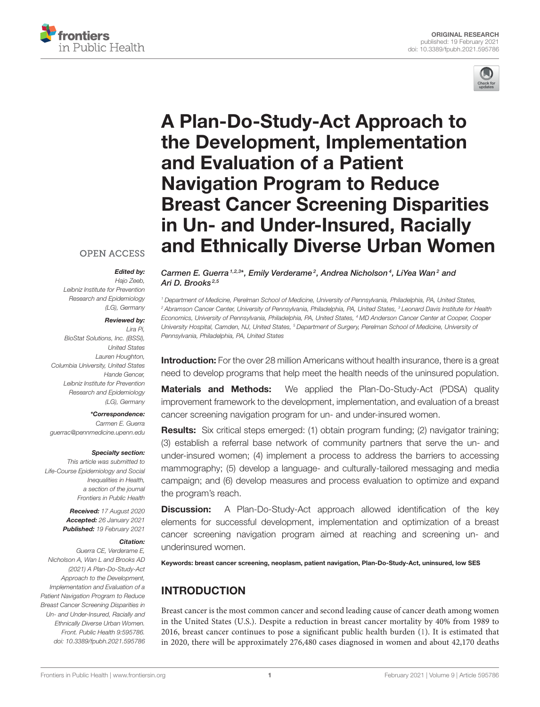



# A Plan-Do-Study-Act Approach to the Development, Implementation and Evaluation of a Patient Navigation Program to Reduce Breast Cancer Screening Disparities in Un- and Under-Insured, Racially [and Ethnically Diverse Urban Women](https://www.frontiersin.org/articles/10.3389/fpubh.2021.595786/full)

### **OPEN ACCESS**

#### Edited by:

*Hajo Zeeb, Leibniz Institute for Prevention Research and Epidemiology (LG), Germany*

#### Reviewed by:

*Lira Pi, BioStat Solutions, Inc. (BSSI), United States Lauren Houghton, Columbia University, United States Hande Gencer, Leibniz Institute for Prevention Research and Epidemiology (LG), Germany*

#### \*Correspondence:

*Carmen E. Guerra [guerrac@pennmedicine.upenn.edu](mailto:guerrac@pennmedicine.upenn.edu)*

#### Specialty section:

*This article was submitted to Life-Course Epidemiology and Social Inequalities in Health, a section of the journal Frontiers in Public Health*

> Received: *17 August 2020* Accepted: *26 January 2021* Published: *19 February 2021*

#### Citation:

*Guerra CE, Verderame E, Nicholson A, Wan L and Brooks AD (2021) A Plan-Do-Study-Act Approach to the Development, Implementation and Evaluation of a Patient Navigation Program to Reduce Breast Cancer Screening Disparities in Un- and Under-Insured, Racially and Ethnically Diverse Urban Women. Front. Public Health 9:595786. doi: [10.3389/fpubh.2021.595786](https://doi.org/10.3389/fpubh.2021.595786)*

Carmen E. Guerra<sup>1,2,3\*</sup>, Emily Verderame<sup>2</sup>, Andrea Nicholson<sup>4</sup>, LiYea Wan<sup>2</sup> and Ari D. Brooks<sup>2,5</sup>

*<sup>1</sup> Department of Medicine, Perelman School of Medicine, University of Pennsylvania, Philadelphia, PA, United States, <sup>2</sup> Abramson Cancer Center, University of Pennsylvania, Philadelphia, PA, United States, <sup>3</sup> Leonard Davis Institute for Health Economics, University of Pennsylvania, Philadelphia, PA, United States, <sup>4</sup> MD Anderson Cancer Center at Cooper, Cooper University Hospital, Camden, NJ, United States, <sup>5</sup> Department of Surgery, Perelman School of Medicine, University of Pennsylvania, Philadelphia, PA, United States*

**Introduction:** For the over 28 million Americans without health insurance, there is a great need to develop programs that help meet the health needs of the uninsured population.

Materials and Methods: We applied the Plan-Do-Study-Act (PDSA) quality improvement framework to the development, implementation, and evaluation of a breast cancer screening navigation program for un- and under-insured women.

Results: Six critical steps emerged: (1) obtain program funding; (2) navigator training; (3) establish a referral base network of community partners that serve the un- and under-insured women; (4) implement a process to address the barriers to accessing mammography; (5) develop a language- and culturally-tailored messaging and media campaign; and (6) develop measures and process evaluation to optimize and expand the program's reach.

**Discussion:** A Plan-Do-Study-Act approach allowed identification of the key elements for successful development, implementation and optimization of a breast cancer screening navigation program aimed at reaching and screening un- and underinsured women.

Keywords: breast cancer screening, neoplasm, patient navigation, Plan-Do-Study-Act, uninsured, low SES

# INTRODUCTION

Breast cancer is the most common cancer and second leading cause of cancer death among women in the United States (U.S.). Despite a reduction in breast cancer mortality by 40% from 1989 to 2016, breast cancer continues to pose a significant public health burden [\(1\)](#page-8-0). It is estimated that in 2020, there will be approximately 276,480 cases diagnosed in women and about 42,170 deaths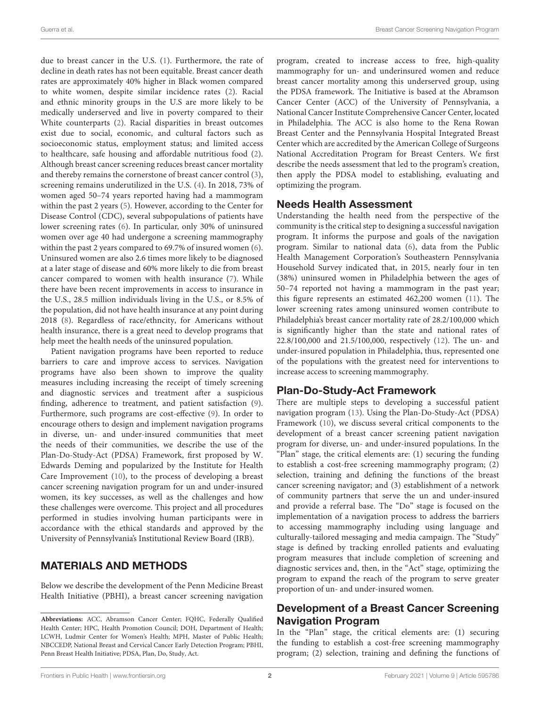due to breast cancer in the U.S. [\(1\)](#page-8-0). Furthermore, the rate of decline in death rates has not been equitable. Breast cancer death rates are approximately 40% higher in Black women compared to white women, despite similar incidence rates [\(2\)](#page-8-1). Racial and ethnic minority groups in the U.S are more likely to be medically underserved and live in poverty compared to their White counterparts [\(2\)](#page-8-1). Racial disparities in breast outcomes exist due to social, economic, and cultural factors such as socioeconomic status, employment status; and limited access to healthcare, safe housing and affordable nutritious food [\(2\)](#page-8-1). Although breast cancer screening reduces breast cancer mortality and thereby remains the cornerstone of breast cancer control [\(3\)](#page-8-2), screening remains underutilized in the U.S. [\(4\)](#page-8-3). In 2018, 73% of women aged 50–74 years reported having had a mammogram within the past 2 years [\(5\)](#page-8-4). However, according to the Center for Disease Control (CDC), several subpopulations of patients have lower screening rates [\(6\)](#page-8-5). In particular, only 30% of uninsured women over age 40 had undergone a screening mammography within the past 2 years compared to 69.7% of insured women [\(6\)](#page-8-5). Uninsured women are also 2.6 times more likely to be diagnosed at a later stage of disease and 60% more likely to die from breast cancer compared to women with health insurance [\(7\)](#page-8-6). While there have been recent improvements in access to insurance in the U.S., 28.5 million individuals living in the U.S., or 8.5% of the population, did not have health insurance at any point during 2018 [\(8\)](#page-8-7). Regardless of race/ethncity, for Americans without health insurance, there is a great need to develop programs that help meet the health needs of the uninsured population.

Patient navigation programs have been reported to reduce barriers to care and improve access to services. Navigation programs have also been shown to improve the quality measures including increasing the receipt of timely screening and diagnostic services and treatment after a suspicious finding, adherence to treatment, and patient satisfaction [\(9\)](#page-8-8). Furthermore, such programs are cost-effective [\(9\)](#page-8-8). In order to encourage others to design and implement navigation programs in diverse, un- and under-insured communities that meet the needs of their communities, we describe the use of the Plan-Do-Study-Act (PDSA) Framework, first proposed by W. Edwards Deming and popularized by the Institute for Health Care Improvement [\(10\)](#page-8-9), to the process of developing a breast cancer screening navigation program for un and under-insured women, its key successes, as well as the challenges and how these challenges were overcome. This project and all procedures performed in studies involving human participants were in accordance with the ethical standards and approved by the University of Pennsylvania's Institutional Review Board (IRB).

# MATERIALS AND METHODS

Below we describe the development of the Penn Medicine Breast Health Initiative (PBHI), a breast cancer screening navigation program, created to increase access to free, high-quality mammography for un- and underinsured women and reduce breast cancer mortality among this underserved group, using the PDSA framework. The Initiative is based at the Abramson Cancer Center (ACC) of the University of Pennsylvania, a National Cancer Institute Comprehensive Cancer Center, located in Philadelphia. The ACC is also home to the Rena Rowan Breast Center and the Pennsylvania Hospital Integrated Breast Center which are accredited by the American College of Surgeons National Accreditation Program for Breast Centers. We first describe the needs assessment that led to the program's creation, then apply the PDSA model to establishing, evaluating and optimizing the program.

### Needs Health Assessment

Understanding the health need from the perspective of the community is the critical step to designing a successful navigation program. It informs the purpose and goals of the navigation program. Similar to national data [\(6\)](#page-8-5), data from the Public Health Management Corporation's Southeastern Pennsylvania Household Survey indicated that, in 2015, nearly four in ten (38%) uninsured women in Philadelphia between the ages of 50–74 reported not having a mammogram in the past year; this figure represents an estimated 462,200 women [\(11\)](#page-8-10). The lower screening rates among uninsured women contribute to Philadelphia's breast cancer mortality rate of 28.2/100,000 which is significantly higher than the state and national rates of 22.8/100,000 and 21.5/100,000, respectively [\(12\)](#page-8-11). The un- and under-insured population in Philadelphia, thus, represented one of the populations with the greatest need for interventions to increase access to screening mammography.

# Plan-Do-Study-Act Framework

There are multiple steps to developing a successful patient navigation program [\(13\)](#page-8-12). Using the Plan-Do-Study-Act (PDSA) Framework [\(10\)](#page-8-9), we discuss several critical components to the development of a breast cancer screening patient navigation program for diverse, un- and under-insured populations. In the "Plan" stage, the critical elements are: (1) securing the funding to establish a cost-free screening mammography program; (2) selection, training and defining the functions of the breast cancer screening navigator; and (3) establishment of a network of community partners that serve the un and under-insured and provide a referral base. The "Do" stage is focused on the implementation of a navigation process to address the barriers to accessing mammography including using language and culturally-tailored messaging and media campaign. The "Study" stage is defined by tracking enrolled patients and evaluating program measures that include completion of screening and diagnostic services and, then, in the "Act" stage, optimizing the program to expand the reach of the program to serve greater proportion of un- and under-insured women.

# Development of a Breast Cancer Screening Navigation Program

In the "Plan" stage, the critical elements are: (1) securing the funding to establish a cost-free screening mammography program; (2) selection, training and defining the functions of

**Abbreviations:** ACC, Abramson Cancer Center; FQHC, Federally Qualified Health Center; HPC, Health Promotion Council; DOH, Department of Health; LCWH, Ludmir Center for Women's Health; MPH, Master of Public Health; NBCCEDP, National Breast and Cervical Cancer Early Detection Program; PBHI, Penn Breast Health Initiative; PDSA, Plan, Do, Study, Act.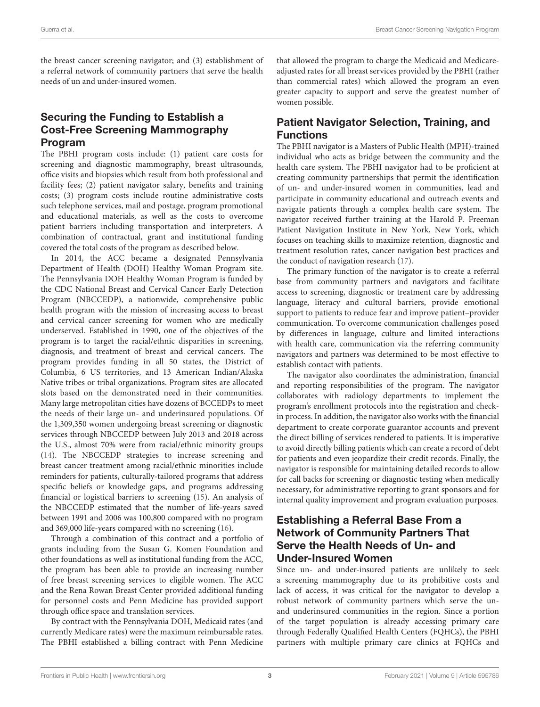the breast cancer screening navigator; and (3) establishment of a referral network of community partners that serve the health needs of un and under-insured women.

# Securing the Funding to Establish a Cost-Free Screening Mammography Program

The PBHI program costs include: (1) patient care costs for screening and diagnostic mammography, breast ultrasounds, office visits and biopsies which result from both professional and facility fees; (2) patient navigator salary, benefits and training costs; (3) program costs include routine administrative costs such telephone services, mail and postage, program promotional and educational materials, as well as the costs to overcome patient barriers including transportation and interpreters. A combination of contractual, grant and institutional funding covered the total costs of the program as described below.

In 2014, the ACC became a designated Pennsylvania Department of Health (DOH) Healthy Woman Program site. The Pennsylvania DOH Healthy Woman Program is funded by the CDC National Breast and Cervical Cancer Early Detection Program (NBCCEDP), a nationwide, comprehensive public health program with the mission of increasing access to breast and cervical cancer screening for women who are medically underserved. Established in 1990, one of the objectives of the program is to target the racial/ethnic disparities in screening, diagnosis, and treatment of breast and cervical cancers. The program provides funding in all 50 states, the District of Columbia, 6 US territories, and 13 American Indian/Alaska Native tribes or tribal organizations. Program sites are allocated slots based on the demonstrated need in their communities. Many large metropolitan cities have dozens of BCCEDPs to meet the needs of their large un- and underinsured populations. Of the 1,309,350 women undergoing breast screening or diagnostic services through NBCCEDP between July 2013 and 2018 across the U.S., almost 70% were from racial/ethnic minority groups [\(14\)](#page-8-13). The NBCCEDP strategies to increase screening and breast cancer treatment among racial/ethnic minorities include reminders for patients, culturally-tailored programs that address specific beliefs or knowledge gaps, and programs addressing financial or logistical barriers to screening [\(15\)](#page-8-14). An analysis of the NBCCEDP estimated that the number of life-years saved between 1991 and 2006 was 100,800 compared with no program and 369,000 life-years compared with no screening [\(16\)](#page-8-15).

Through a combination of this contract and a portfolio of grants including from the Susan G. Komen Foundation and other foundations as well as institutional funding from the ACC, the program has been able to provide an increasing number of free breast screening services to eligible women. The ACC and the Rena Rowan Breast Center provided additional funding for personnel costs and Penn Medicine has provided support through office space and translation services.

By contract with the Pennsylvania DOH, Medicaid rates (and currently Medicare rates) were the maximum reimbursable rates. The PBHI established a billing contract with Penn Medicine that allowed the program to charge the Medicaid and Medicareadjusted rates for all breast services provided by the PBHI (rather than commercial rates) which allowed the program an even greater capacity to support and serve the greatest number of women possible.

### Patient Navigator Selection, Training, and Functions

The PBHI navigator is a Masters of Public Health (MPH)-trained individual who acts as bridge between the community and the health care system. The PBHI navigator had to be proficient at creating community partnerships that permit the identification of un- and under-insured women in communities, lead and participate in community educational and outreach events and navigate patients through a complex health care system. The navigator received further training at the Harold P. Freeman Patient Navigation Institute in New York, New York, which focuses on teaching skills to maximize retention, diagnostic and treatment resolution rates, cancer navigation best practices and the conduct of navigation research [\(17\)](#page-8-16).

The primary function of the navigator is to create a referral base from community partners and navigators and facilitate access to screening, diagnostic or treatment care by addressing language, literacy and cultural barriers, provide emotional support to patients to reduce fear and improve patient–provider communication. To overcome communication challenges posed by differences in language, culture and limited interactions with health care, communication via the referring community navigators and partners was determined to be most effective to establish contact with patients.

The navigator also coordinates the administration, financial and reporting responsibilities of the program. The navigator collaborates with radiology departments to implement the program's enrollment protocols into the registration and checkin process. In addition, the navigator also works with the financial department to create corporate guarantor accounts and prevent the direct billing of services rendered to patients. It is imperative to avoid directly billing patients which can create a record of debt for patients and even jeopardize their credit records. Finally, the navigator is responsible for maintaining detailed records to allow for call backs for screening or diagnostic testing when medically necessary, for administrative reporting to grant sponsors and for internal quality improvement and program evaluation purposes.

### Establishing a Referral Base From a Network of Community Partners That Serve the Health Needs of Un- and Under-Insured Women

Since un- and under-insured patients are unlikely to seek a screening mammography due to its prohibitive costs and lack of access, it was critical for the navigator to develop a robust network of community partners which serve the unand underinsured communities in the region. Since a portion of the target population is already accessing primary care through Federally Qualified Health Centers (FQHCs), the PBHI partners with multiple primary care clinics at FQHCs and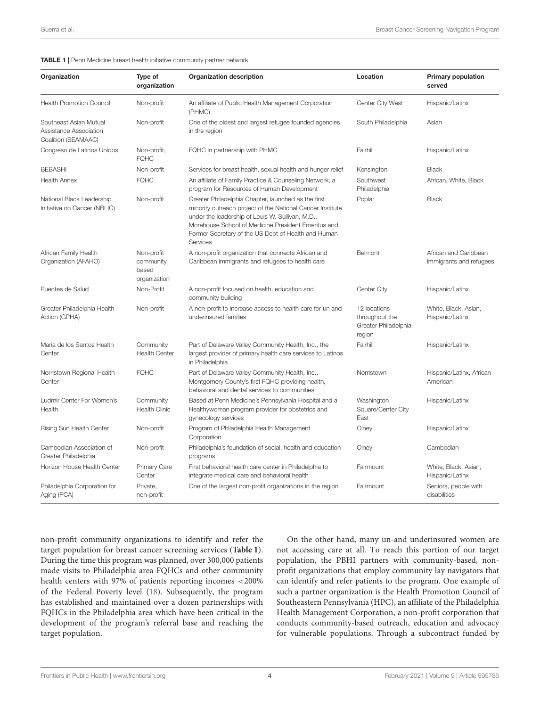#### <span id="page-3-0"></span>TABLE 1 | Penn Medicine breast health initiative community partner network.

| Organization                                                            | Type of<br>organization                          | <b>Organization description</b>                                                                                                                                                                                                                                                                 | Location                                                         | <b>Primary population</b><br>served              |
|-------------------------------------------------------------------------|--------------------------------------------------|-------------------------------------------------------------------------------------------------------------------------------------------------------------------------------------------------------------------------------------------------------------------------------------------------|------------------------------------------------------------------|--------------------------------------------------|
| <b>Health Promotion Council</b>                                         | Non-profit                                       | An affiliate of Public Health Management Corporation<br>(PHMC)                                                                                                                                                                                                                                  | Center City West                                                 | Hispanic/Latinx                                  |
| Southeast Asian Mutual<br>Assistance Association<br>Coalition (SEAMAAC) | Non-profit                                       | One of the oldest and largest refugee founded agencies<br>in the region                                                                                                                                                                                                                         | South Philadelphia                                               | Asian                                            |
| Congreso de Latinos Unidos                                              | Non-profit,<br><b>FQHC</b>                       | FQHC in partnership with PHMC                                                                                                                                                                                                                                                                   | Fairhill                                                         | Hispanic/Latinx                                  |
| <b>BEBASHI</b>                                                          | Non-profit                                       | Services for breast health, sexual health and hunger relief                                                                                                                                                                                                                                     | Kensington                                                       | <b>Black</b>                                     |
| <b>Health Annex</b>                                                     | <b>FQHC</b>                                      | An affiliate of Family Practice & Counseling Network, a<br>program for Resources of Human Development                                                                                                                                                                                           | Southwest<br>Philadelphia                                        | African, White, Black                            |
| National Black Leadership<br>Initiative on Cancer (NBLIC)               | Non-profit                                       | Greater Philadelphia Chapter, launched as the first<br>minority outreach project of the National Cancer Institute<br>under the leadership of Louis W. Sullivan, M.D.,<br>Morehouse School of Medicine President Emeritus and<br>Former Secretary of the US Dept of Health and Human<br>Services | Poplar                                                           | <b>Black</b>                                     |
| African Family Health<br>Organization (AFAHO)                           | Non-profit<br>community<br>based<br>organization | A non-profit organization that connects African and<br>Caribbean immigrants and refugees to health care                                                                                                                                                                                         | Belmont                                                          | African and Caribbean<br>immigrants and refugees |
| Puentes de Salud                                                        | Non-Profit                                       | A non-profit focused on health, education and<br>community building                                                                                                                                                                                                                             | Center City                                                      | Hispanic/Latinx                                  |
| Greater Philadelphia Health<br>Action (GPHA)                            | Non-profit                                       | A non-profit to increase access to health care for un and<br>underinsured families                                                                                                                                                                                                              | 12 locations<br>throughout the<br>Greater Philadelphia<br>region | White, Black, Asian,<br>Hispanic/Latinx          |
| Maria de los Santos Health<br>Center                                    | Community<br><b>Health Center</b>                | Part of Delaware Valley Community Health, Inc., the<br>largest provider of primary health care services to Latinos<br>in Philadelphia                                                                                                                                                           | Fairhill                                                         | Hispanic/Latinx                                  |
| Norristown Regional Health<br>Center                                    | <b>FQHC</b>                                      | Part of Delaware Valley Community Health, Inc.,<br>Montgomery County's first FQHC providing health,<br>behavioral and dental services to communities                                                                                                                                            | Norristown                                                       | Hispanic/Latinx, African<br>American             |
| Ludmir Center For Women's<br>Health                                     | Community<br><b>Health Clinic</b>                | Based at Penn Medicine's Pennsylvania Hospital and a<br>Healthywoman program provider for obstetrics and<br>gynecology services                                                                                                                                                                 | Washington<br>Square/Center City<br>East                         | Hispanic/Latinx                                  |
| Rising Sun Health Center                                                | Non-profit                                       | Program of Philadelphia Health Management<br>Corporation                                                                                                                                                                                                                                        | Olney                                                            | Hispanic/Latinx                                  |
| Cambodian Association of<br>Greater Philadelphia                        | Non-profit                                       | Philadelphia's foundation of social, health and education<br>programs                                                                                                                                                                                                                           | Olney                                                            | Cambodian                                        |
| Horizon House Health Center                                             | Primary Care<br>Center                           | First behavioral health care center in Philadelphia to<br>integrate medical care and behavioral health                                                                                                                                                                                          | Fairmount                                                        | White, Black, Asian,<br>Hispanic/Latinx          |
| Philadelphia Corporation for<br>Aging (PCA)                             | Private,<br>non-profit                           | One of the largest non-profit organizations in the region                                                                                                                                                                                                                                       | Fairmount                                                        | Seniors, people with<br>disabilities             |

non-profit community organizations to identify and refer the target population for breast cancer screening services (**[Table 1](#page-3-0)**). During the time this program was planned, over 300,000 patients made visits to Philadelphia area FQHCs and other community health centers with 97% of patients reporting incomes <200% of the Federal Poverty level [\(18\)](#page-8-17). Subsequently, the program has established and maintained over a dozen partnerships with FQHCs in the Philadelphia area which have been critical in the development of the program's referral base and reaching the target population.

On the other hand, many un-and underinsured women are not accessing care at all. To reach this portion of our target population, the PBHI partners with community-based, nonprofit organizations that employ community lay navigators that can identify and refer patients to the program. One example of such a partner organization is the Health Promotion Council of Southeastern Pennsylvania (HPC), an affiliate of the Philadelphia Health Management Corporation, a non-profit corporation that conducts community-based outreach, education and advocacy for vulnerable populations. Through a subcontract funded by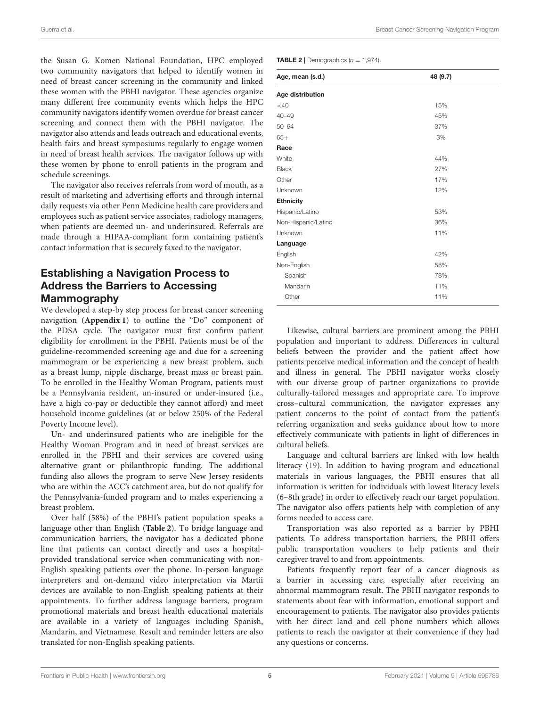the Susan G. Komen National Foundation, HPC employed two community navigators that helped to identify women in need of breast cancer screening in the community and linked these women with the PBHI navigator. These agencies organize many different free community events which helps the HPC community navigators identify women overdue for breast cancer screening and connect them with the PBHI navigator. The navigator also attends and leads outreach and educational events, health fairs and breast symposiums regularly to engage women in need of breast health services. The navigator follows up with these women by phone to enroll patients in the program and schedule screenings.

The navigator also receives referrals from word of mouth, as a result of marketing and advertising efforts and through internal daily requests via other Penn Medicine health care providers and employees such as patient service associates, radiology managers, when patients are deemed un- and underinsured. Referrals are made through a HIPAA-compliant form containing patient's contact information that is securely faxed to the navigator.

# Establishing a Navigation Process to Address the Barriers to Accessing Mammography

We developed a step-by step process for breast cancer screening navigation (**[Appendix 1](#page-8-18)**) to outline the "Do" component of the PDSA cycle. The navigator must first confirm patient eligibility for enrollment in the PBHI. Patients must be of the guideline-recommended screening age and due for a screening mammogram or be experiencing a new breast problem, such as a breast lump, nipple discharge, breast mass or breast pain. To be enrolled in the Healthy Woman Program, patients must be a Pennsylvania resident, un-insured or under-insured (i.e., have a high co-pay or deductible they cannot afford) and meet household income guidelines (at or below 250% of the Federal Poverty Income level).

Un- and underinsured patients who are ineligible for the Healthy Woman Program and in need of breast services are enrolled in the PBHI and their services are covered using alternative grant or philanthropic funding. The additional funding also allows the program to serve New Jersey residents who are within the ACC's catchment area, but do not qualify for the Pennsylvania-funded program and to males experiencing a breast problem.

Over half (58%) of the PBHI's patient population speaks a language other than English (**[Table 2](#page-4-0)**). To bridge language and communication barriers, the navigator has a dedicated phone line that patients can contact directly and uses a hospitalprovided translational service when communicating with non-English speaking patients over the phone. In-person language interpreters and on-demand video interpretation via Martii devices are available to non-English speaking patients at their appointments. To further address language barriers, program promotional materials and breast health educational materials are available in a variety of languages including Spanish, Mandarin, and Vietnamese. Result and reminder letters are also translated for non-English speaking patients.

<span id="page-4-0"></span>**TABLE 2** | Demographics  $(n = 1,974)$ .

| Age, mean (s.d.)    | 48 (9.7) |  |
|---------------------|----------|--|
| Age distribution    |          |  |
| $<$ 40              | 15%      |  |
| $40 - 49$           | 45%      |  |
| $50 - 64$           | 37%      |  |
| $65+$               | 3%       |  |
| Race                |          |  |
| White               | 44%      |  |
| <b>Black</b>        | 27%      |  |
| Other               | 17%      |  |
| Unknown             | 12%      |  |
| <b>Ethnicity</b>    |          |  |
| Hispanic/Latino     | 53%      |  |
| Non-Hispanic/Latino | 36%      |  |
| Unknown             | 11%      |  |
| Language            |          |  |
| English             | 42%      |  |
| Non-English         | 58%      |  |
| Spanish             | 78%      |  |
| Mandarin            | 11%      |  |
| Other               | 11%      |  |

Likewise, cultural barriers are prominent among the PBHI population and important to address. Differences in cultural beliefs between the provider and the patient affect how patients perceive medical information and the concept of health and illness in general. The PBHI navigator works closely with our diverse group of partner organizations to provide culturally-tailored messages and appropriate care. To improve cross–cultural communication, the navigator expresses any patient concerns to the point of contact from the patient's referring organization and seeks guidance about how to more effectively communicate with patients in light of differences in cultural beliefs.

Language and cultural barriers are linked with low health literacy [\(19\)](#page-9-0). In addition to having program and educational materials in various languages, the PBHI ensures that all information is written for individuals with lowest literacy levels (6–8th grade) in order to effectively reach our target population. The navigator also offers patients help with completion of any forms needed to access care.

Transportation was also reported as a barrier by PBHI patients. To address transportation barriers, the PBHI offers public transportation vouchers to help patients and their caregiver travel to and from appointments.

Patients frequently report fear of a cancer diagnosis as a barrier in accessing care, especially after receiving an abnormal mammogram result. The PBHI navigator responds to statements about fear with information, emotional support and encouragement to patients. The navigator also provides patients with her direct land and cell phone numbers which allows patients to reach the navigator at their convenience if they had any questions or concerns.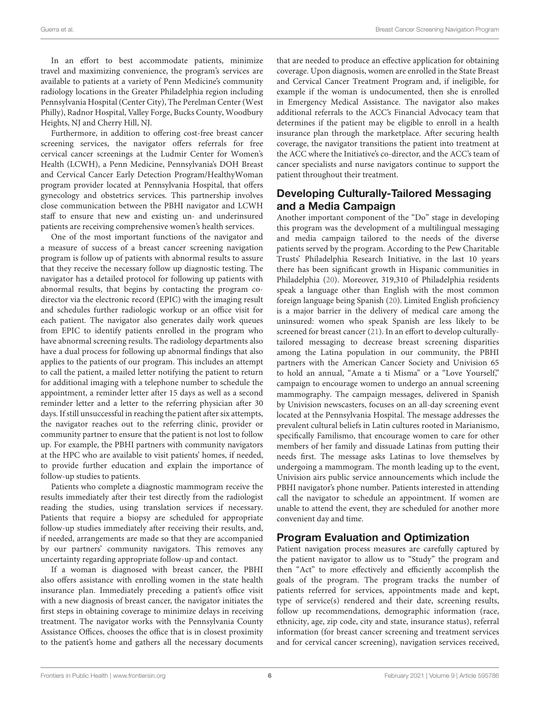In an effort to best accommodate patients, minimize travel and maximizing convenience, the program's services are available to patients at a variety of Penn Medicine's community radiology locations in the Greater Philadelphia region including Pennsylvania Hospital (Center City), The Perelman Center (West Philly), Radnor Hospital, Valley Forge, Bucks County, Woodbury Heights, NJ and Cherry Hill, NJ.

Furthermore, in addition to offering cost-free breast cancer screening services, the navigator offers referrals for free cervical cancer screenings at the Ludmir Center for Women's Health (LCWH), a Penn Medicine, Pennsylvania's DOH Breast and Cervical Cancer Early Detection Program/HealthyWoman program provider located at Pennsylvania Hospital, that offers gynecology and obstetrics services. This partnership involves close communication between the PBHI navigator and LCWH staff to ensure that new and existing un- and underinsured patients are receiving comprehensive women's health services.

One of the most important functions of the navigator and a measure of success of a breast cancer screening navigation program is follow up of patients with abnormal results to assure that they receive the necessary follow up diagnostic testing. The navigator has a detailed protocol for following up patients with abnormal results, that begins by contacting the program codirector via the electronic record (EPIC) with the imaging result and schedules further radiologic workup or an office visit for each patient. The navigator also generates daily work queues from EPIC to identify patients enrolled in the program who have abnormal screening results. The radiology departments also have a dual process for following up abnormal findings that also applies to the patients of our program. This includes an attempt to call the patient, a mailed letter notifying the patient to return for additional imaging with a telephone number to schedule the appointment, a reminder letter after 15 days as well as a second reminder letter and a letter to the referring physician after 30 days. If still unsuccessful in reaching the patient after six attempts, the navigator reaches out to the referring clinic, provider or community partner to ensure that the patient is not lost to follow up. For example, the PBHI partners with community navigators at the HPC who are available to visit patients' homes, if needed, to provide further education and explain the importance of follow-up studies to patients.

Patients who complete a diagnostic mammogram receive the results immediately after their test directly from the radiologist reading the studies, using translation services if necessary. Patients that require a biopsy are scheduled for appropriate follow-up studies immediately after receiving their results, and, if needed, arrangements are made so that they are accompanied by our partners' community navigators. This removes any uncertainty regarding appropriate follow-up and contact.

If a woman is diagnosed with breast cancer, the PBHI also offers assistance with enrolling women in the state health insurance plan. Immediately preceding a patient's office visit with a new diagnosis of breast cancer, the navigator initiates the first steps in obtaining coverage to minimize delays in receiving treatment. The navigator works with the Pennsylvania County Assistance Offices, chooses the office that is in closest proximity to the patient's home and gathers all the necessary documents that are needed to produce an effective application for obtaining coverage. Upon diagnosis, women are enrolled in the State Breast and Cervical Cancer Treatment Program and, if ineligible, for example if the woman is undocumented, then she is enrolled in Emergency Medical Assistance. The navigator also makes additional referrals to the ACC's Financial Advocacy team that determines if the patient may be eligible to enroll in a health insurance plan through the marketplace. After securing health coverage, the navigator transitions the patient into treatment at the ACC where the Initiative's co-director, and the ACC's team of cancer specialists and nurse navigators continue to support the patient throughout their treatment.

# Developing Culturally-Tailored Messaging and a Media Campaign

Another important component of the "Do" stage in developing this program was the development of a multilingual messaging and media campaign tailored to the needs of the diverse patients served by the program. According to the Pew Charitable Trusts' Philadelphia Research Initiative, in the last 10 years there has been significant growth in Hispanic communities in Philadelphia [\(20\)](#page-9-1). Moreover, 319,310 of Philadelphia residents speak a language other than English with the most common foreign language being Spanish [\(20\)](#page-9-1). Limited English proficiency is a major barrier in the delivery of medical care among the uninsured: women who speak Spanish are less likely to be screened for breast cancer [\(21\)](#page-9-2). In an effort to develop culturallytailored messaging to decrease breast screening disparities among the Latina population in our community, the PBHI partners with the American Cancer Society and Univision 65 to hold an annual, "Amate a ti Misma" or a "Love Yourself," campaign to encourage women to undergo an annual screening mammography. The campaign messages, delivered in Spanish by Univision newscasters, focuses on an all-day screening event located at the Pennsylvania Hospital. The message addresses the prevalent cultural beliefs in Latin cultures rooted in Marianismo, specifically Familismo, that encourage women to care for other members of her family and dissuade Latinas from putting their needs first. The message asks Latinas to love themselves by undergoing a mammogram. The month leading up to the event, Univision airs public service announcements which include the PBHI navigator's phone number. Patients interested in attending call the navigator to schedule an appointment. If women are unable to attend the event, they are scheduled for another more convenient day and time.

# Program Evaluation and Optimization

Patient navigation process measures are carefully captured by the patient navigator to allow us to "Study" the program and then "Act" to more effectively and efficiently accomplish the goals of the program. The program tracks the number of patients referred for services, appointments made and kept, type of service(s) rendered and their date, screening results, follow up recommendations, demographic information (race, ethnicity, age, zip code, city and state, insurance status), referral information (for breast cancer screening and treatment services and for cervical cancer screening), navigation services received,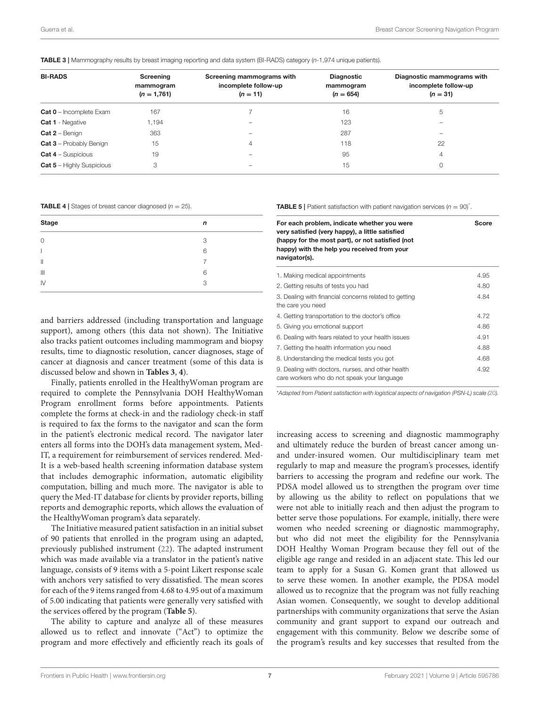<span id="page-6-0"></span>TABLE 3 | Mammography results by breast imaging reporting and data system (BI-RADS) category (*n*-1,974 unique patients).

| <b>BI-RADS</b>                   | Screening<br>mammogram<br>$(n = 1,761)$ | Screening mammograms with<br>incomplete follow-up<br>$(n = 11)$ | <b>Diagnostic</b><br>mammogram<br>$(n = 654)$ | Diagnostic mammograms with<br>incomplete follow-up<br>$(n = 31)$ |
|----------------------------------|-----------------------------------------|-----------------------------------------------------------------|-----------------------------------------------|------------------------------------------------------------------|
| <b>Cat 0</b> - Incomplete Exam   | 167                                     |                                                                 | 16                                            | 5                                                                |
| <b>Cat 1</b> - Negative          | 1,194                                   | -                                                               | 123                                           | -                                                                |
| $Cat 2 - Benign$                 | 363                                     | -                                                               | 287                                           | -                                                                |
| <b>Cat 3</b> - Probably Benign   | 15                                      | 4                                                               | 118                                           | 22                                                               |
| <b>Cat 4</b> – Suspicious        | 19                                      |                                                                 | 95                                            | 4                                                                |
| <b>Cat 5 - Highly Suspicious</b> | 3                                       |                                                                 | 15                                            | 0                                                                |
|                                  |                                         |                                                                 |                                               |                                                                  |

<span id="page-6-1"></span>**TABLE 4** | Stages of breast cancer diagnosed  $(n = 25)$ .

| <b>Stage</b>           | n |
|------------------------|---|
| $\mathbf 0$            | 3 |
|                        | 6 |
| $\mathbf{  }$          | 7 |
| $\parallel \parallel$  | 6 |
| $\mathsf{I}\mathsf{V}$ | 3 |

and barriers addressed (including transportation and language support), among others (this data not shown). The Initiative also tracks patient outcomes including mammogram and biopsy results, time to diagnostic resolution, cancer diagnoses, stage of cancer at diagnosis and cancer treatment (some of this data is discussed below and shown in **[Tables 3](#page-6-0)**, **[4](#page-6-1)**).

Finally, patients enrolled in the HealthyWoman program are required to complete the Pennsylvania DOH HealthyWoman Program enrollment forms before appointments. Patients complete the forms at check-in and the radiology check-in staff is required to fax the forms to the navigator and scan the form in the patient's electronic medical record. The navigator later enters all forms into the DOH's data management system, Med-IT, a requirement for reimbursement of services rendered. Med-It is a web-based health screening information database system that includes demographic information, automatic eligibility computation, billing and much more. The navigator is able to query the Med-IT database for clients by provider reports, billing reports and demographic reports, which allows the evaluation of the HealthyWoman program's data separately.

The Initiative measured patient satisfaction in an initial subset of 90 patients that enrolled in the program using an adapted, previously published instrument [\(22\)](#page-9-3). The adapted instrument which was made available via a translator in the patient's native language, consists of 9 items with a 5-point Likert response scale with anchors very satisfied to very dissatisfied. The mean scores for each of the 9 items ranged from 4.68 to 4.95 out of a maximum of 5.00 indicating that patients were generally very satisfied with the services offered by the program (**[Table 5](#page-6-2)**).

The ability to capture and analyze all of these measures allowed us to reflect and innovate ("Act") to optimize the program and more effectively and efficiently reach its goals of <span id="page-6-2"></span>**TABLE 5** | Patient satisfaction with patient navigation services  $(n = 90)^*$ .

| For each problem, indicate whether you were<br>very satisfied (very happy), a little satisfied<br>(happy for the most part), or not satisfied (not<br>happy) with the help you received from your<br>navigator(s). | <b>Score</b> |
|--------------------------------------------------------------------------------------------------------------------------------------------------------------------------------------------------------------------|--------------|
| 1. Making medical appointments                                                                                                                                                                                     | 4.95         |
| 2. Getting results of tests you had                                                                                                                                                                                | 4.80         |
| 3. Dealing with financial concerns related to getting<br>the care you need                                                                                                                                         | 4.84         |
| 4. Getting transportation to the doctor's office                                                                                                                                                                   | 4.72         |
| 5. Giving you emotional support                                                                                                                                                                                    | 4.86         |
| 6. Dealing with fears related to your health issues                                                                                                                                                                | 4.91         |
| 7. Getting the health information you need                                                                                                                                                                         | 4.88         |
| 8. Understanding the medical tests you got                                                                                                                                                                         | 4.68         |
| 9. Dealing with doctors, nurses, and other health<br>care workers who do not speak your language                                                                                                                   | 4.92         |

\**Adapted from Patient satisfaction with logistical aspects of navigation (PSN-L) scale [\(20\)](#page-9-1).*

increasing access to screening and diagnostic mammography and ultimately reduce the burden of breast cancer among unand under-insured women. Our multidisciplinary team met regularly to map and measure the program's processes, identify barriers to accessing the program and redefine our work. The PDSA model allowed us to strengthen the program over time by allowing us the ability to reflect on populations that we were not able to initially reach and then adjust the program to better serve those populations. For example, initially, there were women who needed screening or diagnostic mammography, but who did not meet the eligibility for the Pennsylvania DOH Healthy Woman Program because they fell out of the eligible age range and resided in an adjacent state. This led our team to apply for a Susan G. Komen grant that allowed us to serve these women. In another example, the PDSA model allowed us to recognize that the program was not fully reaching Asian women. Consequently, we sought to develop additional partnerships with community organizations that serve the Asian community and grant support to expand our outreach and engagement with this community. Below we describe some of the program's results and key successes that resulted from the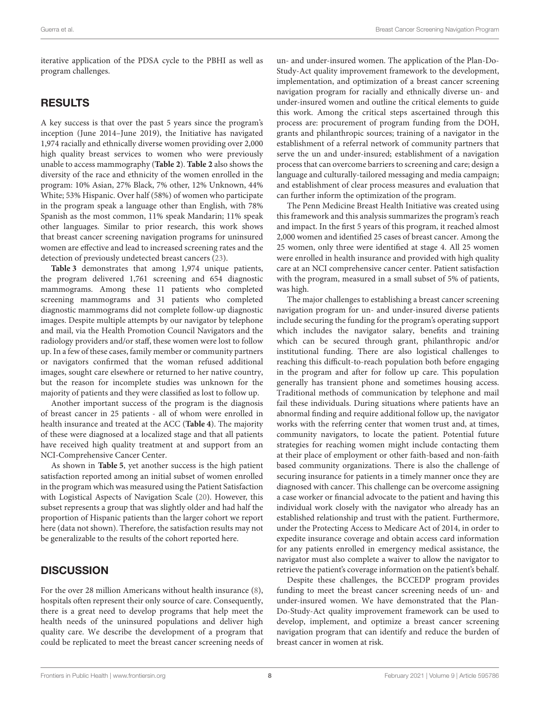iterative application of the PDSA cycle to the PBHI as well as program challenges.

### RESULTS

A key success is that over the past 5 years since the program's inception (June 2014–June 2019), the Initiative has navigated 1,974 racially and ethnically diverse women providing over 2,000 high quality breast services to women who were previously unable to access mammography (**[Table 2](#page-4-0)**). **[Table 2](#page-4-0)** also shows the diversity of the race and ethnicity of the women enrolled in the program: 10% Asian, 27% Black, 7% other, 12% Unknown, 44% White; 53% Hispanic. Over half (58%) of women who participate in the program speak a language other than English, with 78% Spanish as the most common, 11% speak Mandarin; 11% speak other languages. Similar to prior research, this work shows that breast cancer screening navigation programs for uninsured women are effective and lead to increased screening rates and the detection of previously undetected breast cancers [\(23\)](#page-9-4).

**[Table 3](#page-6-0)** demonstrates that among 1,974 unique patients, the program delivered 1,761 screening and 654 diagnostic mammograms. Among these 11 patients who completed screening mammograms and 31 patients who completed diagnostic mammograms did not complete follow-up diagnostic images. Despite multiple attempts by our navigator by telephone and mail, via the Health Promotion Council Navigators and the radiology providers and/or staff, these women were lost to follow up. In a few of these cases, family member or community partners or navigators confirmed that the woman refused additional images, sought care elsewhere or returned to her native country, but the reason for incomplete studies was unknown for the majority of patients and they were classified as lost to follow up.

Another important success of the program is the diagnosis of breast cancer in 25 patients - all of whom were enrolled in health insurance and treated at the ACC (**[Table 4](#page-6-1)**). The majority of these were diagnosed at a localized stage and that all patients have received high quality treatment at and support from an NCI-Comprehensive Cancer Center.

As shown in **[Table 5](#page-6-2)**, yet another success is the high patient satisfaction reported among an initial subset of women enrolled in the program which was measured using the Patient Satisfaction with Logistical Aspects of Navigation Scale [\(20\)](#page-9-1). However, this subset represents a group that was slightly older and had half the proportion of Hispanic patients than the larger cohort we report here (data not shown). Therefore, the satisfaction results may not be generalizable to the results of the cohort reported here.

### **DISCUSSION**

For the over 28 million Americans without health insurance [\(8\)](#page-8-7), hospitals often represent their only source of care. Consequently, there is a great need to develop programs that help meet the health needs of the uninsured populations and deliver high quality care. We describe the development of a program that could be replicated to meet the breast cancer screening needs of un- and under-insured women. The application of the Plan-Do-Study-Act quality improvement framework to the development, implementation, and optimization of a breast cancer screening navigation program for racially and ethnically diverse un- and under-insured women and outline the critical elements to guide this work. Among the critical steps ascertained through this process are: procurement of program funding from the DOH, grants and philanthropic sources; training of a navigator in the establishment of a referral network of community partners that serve the un and under-insured; establishment of a navigation process that can overcome barriers to screening and care; design a language and culturally-tailored messaging and media campaign; and establishment of clear process measures and evaluation that can further inform the optimization of the program.

The Penn Medicine Breast Health Initiative was created using this framework and this analysis summarizes the program's reach and impact. In the first 5 years of this program, it reached almost 2,000 women and identified 25 cases of breast cancer. Among the 25 women, only three were identified at stage 4. All 25 women were enrolled in health insurance and provided with high quality care at an NCI comprehensive cancer center. Patient satisfaction with the program, measured in a small subset of 5% of patients, was high.

The major challenges to establishing a breast cancer screening navigation program for un- and under-insured diverse patients include securing the funding for the program's operating support which includes the navigator salary, benefits and training which can be secured through grant, philanthropic and/or institutional funding. There are also logistical challenges to reaching this difficult-to-reach population both before engaging in the program and after for follow up care. This population generally has transient phone and sometimes housing access. Traditional methods of communication by telephone and mail fail these individuals. During situations where patients have an abnormal finding and require additional follow up, the navigator works with the referring center that women trust and, at times, community navigators, to locate the patient. Potential future strategies for reaching women might include contacting them at their place of employment or other faith-based and non-faith based community organizations. There is also the challenge of securing insurance for patients in a timely manner once they are diagnosed with cancer. This challenge can be overcome assigning a case worker or financial advocate to the patient and having this individual work closely with the navigator who already has an established relationship and trust with the patient. Furthermore, under the Protecting Access to Medicare Act of 2014, in order to expedite insurance coverage and obtain access card information for any patients enrolled in emergency medical assistance, the navigator must also complete a waiver to allow the navigator to retrieve the patient's coverage information on the patient's behalf.

Despite these challenges, the BCCEDP program provides funding to meet the breast cancer screening needs of un- and under-insured women. We have demonstrated that the Plan-Do-Study-Act quality improvement framework can be used to develop, implement, and optimize a breast cancer screening navigation program that can identify and reduce the burden of breast cancer in women at risk.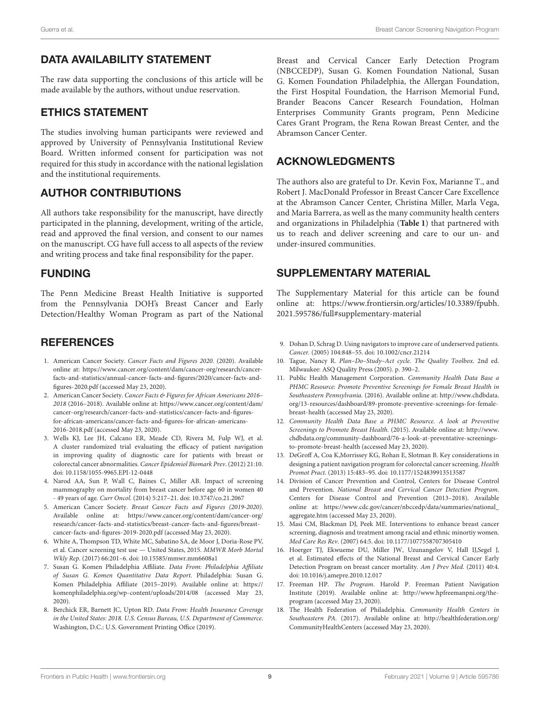# DATA AVAILABILITY STATEMENT

The raw data supporting the conclusions of this article will be made available by the authors, without undue reservation.

### ETHICS STATEMENT

The studies involving human participants were reviewed and approved by University of Pennsylvania Institutional Review Board. Written informed consent for participation was not required for this study in accordance with the national legislation and the institutional requirements.

# AUTHOR CONTRIBUTIONS

All authors take responsibility for the manuscript, have directly participated in the planning, development, writing of the article, read and approved the final version, and consent to our names on the manuscript. CG have full access to all aspects of the review and writing process and take final responsibility for the paper.

### FUNDING

The Penn Medicine Breast Health Initiative is supported from the Pennsylvania DOH's Breast Cancer and Early Detection/Healthy Woman Program as part of the National

# **REFERENCES**

- <span id="page-8-0"></span>1. American Cancer Society. Cancer Facts and Figures 2020. (2020). Available online at: [https://www.cancer.org/content/dam/cancer-org/research/cancer](https://www.cancer.org/content/dam/cancer-org/research/cancer-facts-and-statistics/annual-cancer-facts-and-figures/2020/cancer-facts-and-figures-2020.pdf)[facts-and-statistics/annual-cancer-facts-and-figures/2020/cancer-facts-and](https://www.cancer.org/content/dam/cancer-org/research/cancer-facts-and-statistics/annual-cancer-facts-and-figures/2020/cancer-facts-and-figures-2020.pdf)[figures-2020.pdf](https://www.cancer.org/content/dam/cancer-org/research/cancer-facts-and-statistics/annual-cancer-facts-and-figures/2020/cancer-facts-and-figures-2020.pdf) (accessed May 23, 2020).
- <span id="page-8-1"></span>2. American Cancer Society. Cancer Facts & Figures for African Americans 2016-2018 (2016–2018). Available online at: [https://www.cancer.org/content/dam/](https://www.cancer.org/content/dam/cancer-org/research/cancer-facts-and-statistics/cancer-facts-and-figures-for-african-americans/cancer-facts-and-figures-for-african-americans-2016-2018.pdf) [cancer-org/research/cancer-facts-and-statistics/cancer-facts-and-figures](https://www.cancer.org/content/dam/cancer-org/research/cancer-facts-and-statistics/cancer-facts-and-figures-for-african-americans/cancer-facts-and-figures-for-african-americans-2016-2018.pdf)[for-african-americans/cancer-facts-and-figures-for-african-americans-](https://www.cancer.org/content/dam/cancer-org/research/cancer-facts-and-statistics/cancer-facts-and-figures-for-african-americans/cancer-facts-and-figures-for-african-americans-2016-2018.pdf)[2016-2018.pdf](https://www.cancer.org/content/dam/cancer-org/research/cancer-facts-and-statistics/cancer-facts-and-figures-for-african-americans/cancer-facts-and-figures-for-african-americans-2016-2018.pdf) (accessed May 23, 2020).
- <span id="page-8-2"></span>3. Wells KJ, Lee JH, Calcano ER, Meade CD, Rivera M, Fulp WJ, et al. A cluster randomized trial evaluating the efficacy of patient navigation in improving quality of diagnostic care for patients with breast or colorectal cancer abnormalities. Cancer Epidemiol Biomark Prev. (2012) 21:10. doi: [10.1158/1055-9965.EPI-12-0448](https://doi.org/10.1158/1055-9965.EPI-12-0448)
- <span id="page-8-3"></span>4. Narod AA, Sun P, Wall C, Baines C, Miller AB. Impact of screening mammography on mortality from breast cancer before age 60 in women 40 - 49 years of age. Curr Oncol. (2014) 5:217–21. doi: [10.3747/co.21.2067](https://doi.org/10.3747/co.21.2067)
- <span id="page-8-4"></span>5. American Cancer Society. Breast Cancer Facts and Figures (2019-2020). Available online at: [https://www.cancer.org/content/dam/cancer-org/](https://www.cancer.org/content/dam/cancer-org/research/cancer-facts-and-statistics/breast-cancer-facts-and-figures/breast-cancer-facts-and-figures-2019-2020.pdf) [research/cancer-facts-and-statistics/breast-cancer-facts-and-figures/breast](https://www.cancer.org/content/dam/cancer-org/research/cancer-facts-and-statistics/breast-cancer-facts-and-figures/breast-cancer-facts-and-figures-2019-2020.pdf)[cancer-facts-and-figures-2019-2020.pdf](https://www.cancer.org/content/dam/cancer-org/research/cancer-facts-and-statistics/breast-cancer-facts-and-figures/breast-cancer-facts-and-figures-2019-2020.pdf) (accessed May 23, 2020).
- <span id="page-8-5"></span>6. White A, Thompson TD, White MC, Sabatino SA, de Moor J, Doria-Rose PV, et al. Cancer screening test use — United States, 2015. MMWR Morb Mortal Wkly Rep. (2017) 66:201–6. doi: [10.15585/mmwr.mm6608a1](https://doi.org/10.15585/mmwr.mm6608a1)
- <span id="page-8-6"></span>7. Susan G. Komen Philadelphia Affiliate. Data From: Philadelphia Affiliate of Susan G. Komen Quantitative Data Report. Philadelphia: Susan G. Komen Philadelphia Affiliate (2015–2019). Available online at: [https://](https://komenphiladelphia.org/wp-content/uploads/2014/08) [komenphiladelphia.org/wp-content/uploads/2014/08](https://komenphiladelphia.org/wp-content/uploads/2014/08) (accessed May 23, 2020).
- <span id="page-8-7"></span>8. Berchick ER, Barnett JC, Upton RD. Data From: Health Insurance Coverage in the United States: 2018. U.S. Census Bureau, U.S. Department of Commerce. Washington, D.C.: U.S. Government Printing Office (2019).

Breast and Cervical Cancer Early Detection Program (NBCCEDP), Susan G. Komen Foundation National, Susan G. Komen Foundation Philadelphia, the Allergan Foundation, the First Hospital Foundation, the Harrison Memorial Fund, Brander Beacons Cancer Research Foundation, Holman Enterprises Community Grants program, Penn Medicine Cares Grant Program, the Rena Rowan Breast Center, and the Abramson Cancer Center.

### ACKNOWLEDGMENTS

The authors also are grateful to Dr. Kevin Fox, Marianne T., and Robert J. MacDonald Professor in Breast Cancer Care Excellence at the Abramson Cancer Center, Christina Miller, Marla Vega, and Maria Barrera, as well as the many community health centers and organizations in Philadelphia (**[Table 1](#page-3-0)**) that partnered with us to reach and deliver screening and care to our un- and under-insured communities.

# SUPPLEMENTARY MATERIAL

<span id="page-8-18"></span>The Supplementary Material for this article can be found [online at: https://www.frontiersin.org/articles/10.3389/fpubh.](https://www.frontiersin.org/articles/10.3389/fpubh.2021.595786/full#supplementary-material) 2021.595786/full#supplementary-material

- <span id="page-8-8"></span>9. Dohan D, Schrag D. Using navigators to improve care of underserved patients. Cancer. (2005) 104:848–55. doi: [10.1002/cncr.21214](https://doi.org/10.1002/cncr.21214)
- <span id="page-8-9"></span>10. Tague, Nancy R. Plan–Do–Study–Act cycle. The Quality Toolbox. 2nd ed. Milwaukee: ASQ Quality Press (2005). p. 390–2.
- <span id="page-8-10"></span>11. Public Health Management Corporation. Community Health Data Base a PHMC Resource: Promote Preventive Screenings for Female Breast Health in Southeastern Pennsylvania. (2016). Available online at: [http://www.chdbdata.](http://www.chdbdata.org/13-resources/dashboard/89-promote-preventive-screenings-for-female-breast-health) [org/13-resources/dashboard/89-promote-preventive-screenings-for-female](http://www.chdbdata.org/13-resources/dashboard/89-promote-preventive-screenings-for-female-breast-health)[breast-health](http://www.chdbdata.org/13-resources/dashboard/89-promote-preventive-screenings-for-female-breast-health) (accessed May 23, 2020).
- <span id="page-8-11"></span>12. Community Health Data Base a PHMC Resource. A look at Preventive Screenings to Promote Breast Health. (2015). Available online at: [http://www.](http://www.chdbdata.org/community-dashboard/76-a-look-at-preventative-screenings-to-promote-breast-health) [chdbdata.org/community-dashboard/76-a-look-at-preventative-screenings](http://www.chdbdata.org/community-dashboard/76-a-look-at-preventative-screenings-to-promote-breast-health)[to-promote-breast-health](http://www.chdbdata.org/community-dashboard/76-a-look-at-preventative-screenings-to-promote-breast-health) (accessed May 23, 2020).
- <span id="page-8-12"></span>13. DeGroff A, Coa K,Morrissey KG, Rohan E, Slotman B. Key considerations in designing a patient navigation program for colorectal cancer screening. Health Promot Pract. (2013) 15:483–95. doi: [10.1177/1524839913513587](https://doi.org/10.1177/1524839913513587)
- <span id="page-8-13"></span>14. Division of Cancer Prevention and Control, Centers for Disease Control and Prevention. National Breast and Cervical Cancer Detection Program. Centers for Disease Control and Prevention (2013–2018). Available online at: [https://www.cdc.gov/cancer/nbccedp/data/summaries/national\\_](https://www.cdc.gov/cancer/nbccedp/data/summaries/national_aggregate.htm) [aggregate.htm](https://www.cdc.gov/cancer/nbccedp/data/summaries/national_aggregate.htm) (accessed May 23, 2020).
- <span id="page-8-14"></span>15. Masi CM, Blackman DJ, Peek ME. Interventions to enhance breast cancer screening, diagnosis and treatment among racial and ethnic minortiy women. Med Care Res Rev. (2007) 64:5. doi: [10.1177/1077558707305410](https://doi.org/10.1177/1077558707305410)
- <span id="page-8-15"></span>16. Hoerger TJ, Ekwueme DU, Miller JW, Uzunangelov V, Hall IJ,Segel J, et al. Estimated effects of the National Breast and Cervical Cancer Early Detection Program on breast cancer mortality. Am J Prev Med. (2011) 40:4. doi: [10.1016/j.amepre.2010.12.017](https://doi.org/10.1016/j.amepre.2010.12.017)
- <span id="page-8-16"></span>17. Freeman HP. The Program. Harold P. Freeman Patient Navigation Institute (2019). Available online at: [http://www.hpfreemanpni.org/the](http://www.hpfreemanpni.org/the-program)[program](http://www.hpfreemanpni.org/the-program) (accessed May 23, 2020).
- <span id="page-8-17"></span>18. The Health Federation of Philadelphia. Community Health Centers in Southeastern PA. (2017). Available online at: [http://healthfederation.org/](http://healthfederation.org/CommunityHealthCenters) [CommunityHealthCenters](http://healthfederation.org/CommunityHealthCenters) (accessed May 23, 2020).